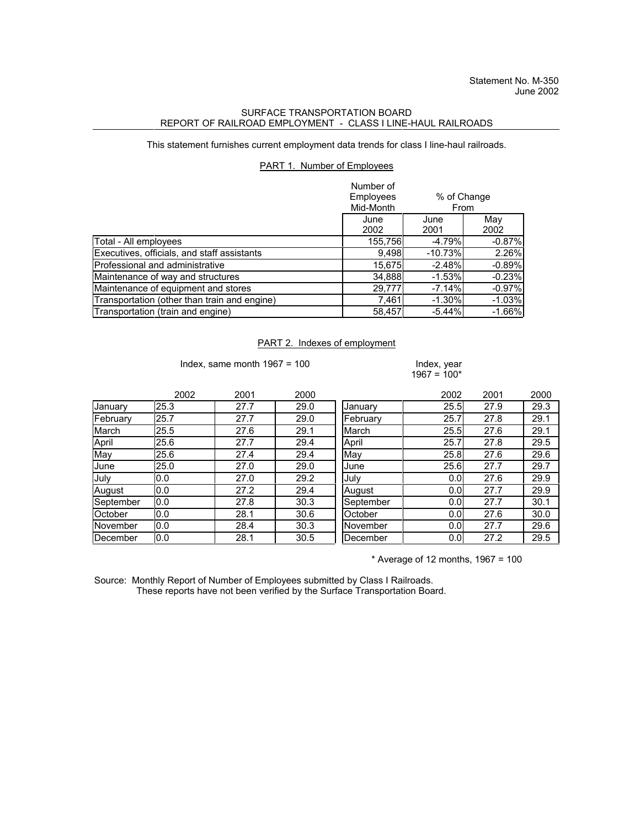## SURFACE TRANSPORTATION BOARD REPORT OF RAILROAD EMPLOYMENT - CLASS I LINE-HAUL RAILROADS

This statement furnishes current employment data trends for class I line-haul railroads.

## PART 1. Number of Employees

|                                              | Number of<br><b>Employees</b><br>Mid-Month | % of Change<br>From |             |
|----------------------------------------------|--------------------------------------------|---------------------|-------------|
|                                              | June<br>2002                               | June<br>2001        | May<br>2002 |
| Total - All employees                        | 155,756                                    | $-4.79%$            | $-0.87%$    |
| Executives, officials, and staff assistants  | 9,498                                      | $-10.73%$           | 2.26%       |
| Professional and administrative              | 15,675                                     | $-2.48%$            | $-0.89%$    |
| Maintenance of way and structures            | 34,888                                     | $-1.53%$            | $-0.23%$    |
| Maintenance of equipment and stores          | 29,777                                     | $-7.14%$            | $-0.97%$    |
| Transportation (other than train and engine) | 7,461                                      | $-1.30%$            | $-1.03%$    |
| Transportation (train and engine)            | 58.457                                     | $-5.44%$            | $-1.66%$    |

## PART 2. Indexes of employment

Index, same month  $1967 = 100$  Index, year

 $1967 = 100*$ 

|           | 2002 | 2001 | 2000 |           | 2002             | 2001 | 2000 |
|-----------|------|------|------|-----------|------------------|------|------|
| January   | 25.3 | 27.7 | 29.0 | January   | 25.5             | 27.9 | 29.3 |
| February  | 25.7 | 27.7 | 29.0 | February  | 25.7             | 27.8 | 29.1 |
| March     | 25.5 | 27.6 | 29.1 | March     | 25.5             | 27.6 | 29.1 |
| April     | 25.6 | 27.7 | 29.4 | April     | 25.7             | 27.8 | 29.5 |
| May       | 25.6 | 27.4 | 29.4 | May       | 25.8             | 27.6 | 29.6 |
| June      | 25.0 | 27.0 | 29.0 | June      | 25.6             | 27.7 | 29.7 |
| July      | 0.0  | 27.0 | 29.2 | July      | 0.0 <sub>l</sub> | 27.6 | 29.9 |
| August    | 0.0  | 27.2 | 29.4 | August    | 0.0 <sub>l</sub> | 27.7 | 29.9 |
| September | 0.0  | 27.8 | 30.3 | September | 0.0              | 27.7 | 30.1 |
| October   | 0.0  | 28.1 | 30.6 | October   | 0.0 <sub>l</sub> | 27.6 | 30.0 |
| November  | 0.0  | 28.4 | 30.3 | November  | 0.0 <sub>l</sub> | 27.7 | 29.6 |
| December  | 0.0  | 28.1 | 30.5 | December  | 0.0 <sub>l</sub> | 27.2 | 29.5 |

 $*$  Average of 12 months, 1967 = 100

Source: Monthly Report of Number of Employees submitted by Class I Railroads. These reports have not been verified by the Surface Transportation Board.